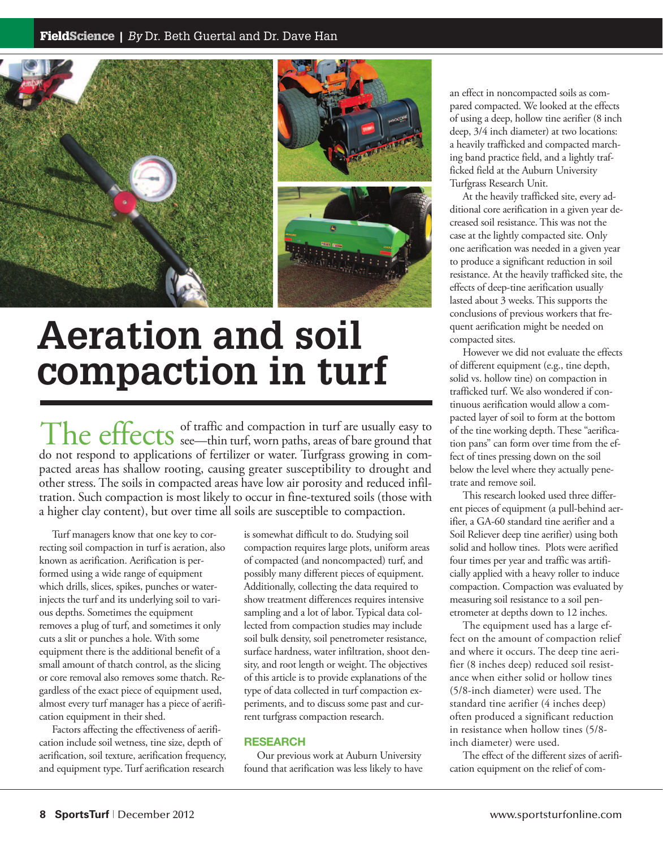

# **Aeration and soil compaction in turf**

of traffic and compaction in turf are usually easy to The effects  $\frac{1}{2}$  of traffic and compaction in turf are usually easy to do not respond to applications of fertilizer or water. Turfgrass growing in compacted areas has shallow rooting, causing greater susceptibility to drought and other stress. The soils in compacted areas have low air porosity and reduced infiltration. Such compaction is most likely to occur in fine-textured soils (those with a higher clay content), but over time all soils are susceptible to compaction.

Turf managers know that one key to correcting soil compaction in turf is aeration, also known as aerification. Aerification is performed using a wide range of equipment which drills, slices, spikes, punches or waterinjects the turf and its underlying soil to various depths. Sometimes the equipment removes a plug of turf, and sometimes it only cuts a slit or punches a hole. With some equipment there is the additional benefit of a small amount of thatch control, as the slicing or core removal also removes some thatch. Regardless of the exact piece of equipment used, almost every turf manager has a piece of aerification equipment in their shed.

Factors affecting the effectiveness of aerification include soil wetness, tine size, depth of aerification, soil texture, aerification frequency, and equipment type. Turf aerification research

is somewhat difficult to do. Studying soil compaction requires large plots, uniform areas of compacted (and noncompacted) turf, and possibly many different pieces of equipment. Additionally, collecting the data required to show treatment differences requires intensive sampling and a lot of labor. Typical data collected from compaction studies may include soil bulk density, soil penetrometer resistance, surface hardness, water infiltration, shoot density, and root length or weight. The objectives of this article is to provide explanations of the type of data collected in turf compaction experiments, and to discuss some past and current turfgrass compaction research.

### **RESEARCH**

Our previous work at Auburn University found that aerification was less likely to have an effect in noncompacted soils as compared compacted. We looked at the effects of using a deep, hollow tine aerifier (8 inch deep, 3/4 inch diameter) at two locations: a heavily trafficked and compacted marching band practice field, and a lightly trafficked field at the Auburn University Turfgrass Research Unit.

At the heavily trafficked site, every additional core aerification in a given year decreased soil resistance. This was not the case at the lightly compacted site. Only one aerification was needed in a given year to produce a significant reduction in soil resistance. At the heavily trafficked site, the effects of deep-tine aerification usually lasted about 3 weeks. This supports the conclusions of previous workers that frequent aerification might be needed on compacted sites.

However we did not evaluate the effects of different equipment (e.g., tine depth, solid vs. hollow tine) on compaction in trafficked turf. We also wondered if continuous aerification would allow a compacted layer of soil to form at the bottom of the tine working depth. These "aerification pans" can form over time from the effect of tines pressing down on the soil below the level where they actually penetrate and remove soil.

This research looked used three different pieces of equipment (a pull-behind aerifier, a GA-60 standard tine aerifier and a Soil Reliever deep tine aerifier) using both solid and hollow tines. Plots were aerified four times per year and traffic was artificially applied with a heavy roller to induce compaction. Compaction was evaluated by measuring soil resistance to a soil penetrometer at depths down to 12 inches.

The equipment used has a large effect on the amount of compaction relief and where it occurs. The deep tine aerifier (8 inches deep) reduced soil resistance when either solid or hollow tines (5/8-inch diameter) were used. The standard tine aerifier (4 inches deep) often produced a significant reduction in resistance when hollow tines (5/8 inch diameter) were used.

The effect of the different sizes of aerification equipment on the relief of com-